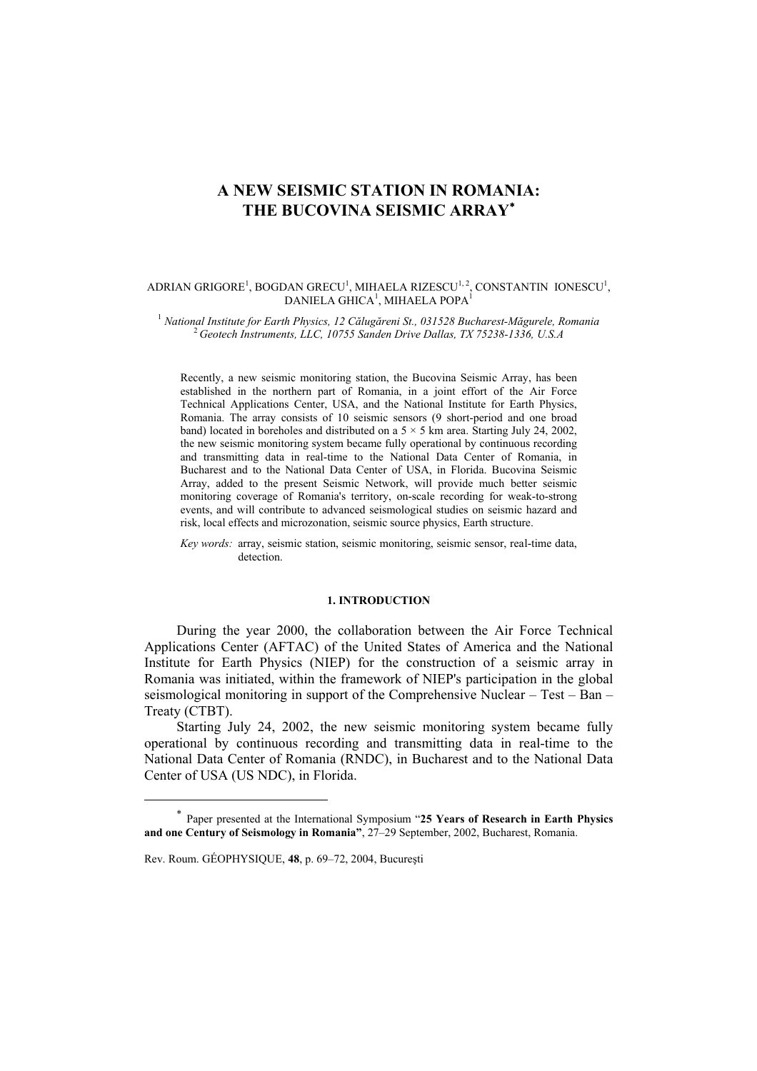# **A NEW SEISMIC STATION IN ROMANIA: THE BUCOVINA SEISMIC ARRAY**<sup>∗</sup>

#### ADRIAN GRIGORE<sup>1</sup>, BOGDAN GRECU<sup>1</sup>, MIHAELA RIZESCU<sup>1, 2</sup>, CONSTANTIN IONESCU<sup>1</sup>, DANIELA GHICA $^{\rm l}$ , MIHAELA POPA $^{\rm l}$

<sup>1</sup> National Institute for Earth Physics, 12 Călugăreni St., 031528 Bucharest-Măgurele, Romania  *National Institute for Earth Physics, 12 Călugăreni St., 031528 Bucharest-Măgurele, Romania* <sup>2</sup> *Geotech Instruments, LLC, 10755 Sanden Drive Dallas, TX 75238-1336, U.S.A*

Recently, a new seismic monitoring station, the Bucovina Seismic Array, has been established in the northern part of Romania, in a joint effort of the Air Force Technical Applications Center, USA, and the National Institute for Earth Physics, Romania. The array consists of 10 seismic sensors (9 short-period and one broad band) located in boreholes and distributed on a  $5 \times 5$  km area. Starting July 24, 2002, the new seismic monitoring system became fully operational by continuous recording and transmitting data in real-time to the National Data Center of Romania, in Bucharest and to the National Data Center of USA, in Florida. Bucovina Seismic Array, added to the present Seismic Network, will provide much better seismic monitoring coverage of Romania's territory, on-scale recording for weak-to-strong events, and will contribute to advanced seismological studies on seismic hazard and risk, local effects and microzonation, seismic source physics, Earth structure.

*Key words:* array, seismic station, seismic monitoring, seismic sensor, real-time data, detection.

## **1. INTRODUCTION**

During the year 2000, the collaboration between the Air Force Technical Applications Center (AFTAC) of the United States of America and the National Institute for Earth Physics (NIEP) for the construction of a seismic array in Romania was initiated, within the framework of NIEP's participation in the global seismological monitoring in support of the Comprehensive Nuclear – Test – Ban – Treaty (CTBT).

Starting July 24, 2002, the new seismic monitoring system became fully operational by continuous recording and transmitting data in real-time to the National Data Center of Romania (RNDC), in Bucharest and to the National Data Center of USA (US NDC), in Florida.

 $\overline{a}$ 

<sup>∗</sup> Paper presented at the International Symposium "**25 Years of Research in Earth Physics and one Century of Seismology in Romania"**, 27–29 September, 2002, Bucharest, Romania.

Rev. Roum. GÉOPHYSIQUE, **48**, p. 69–72, 2004, Bucureşti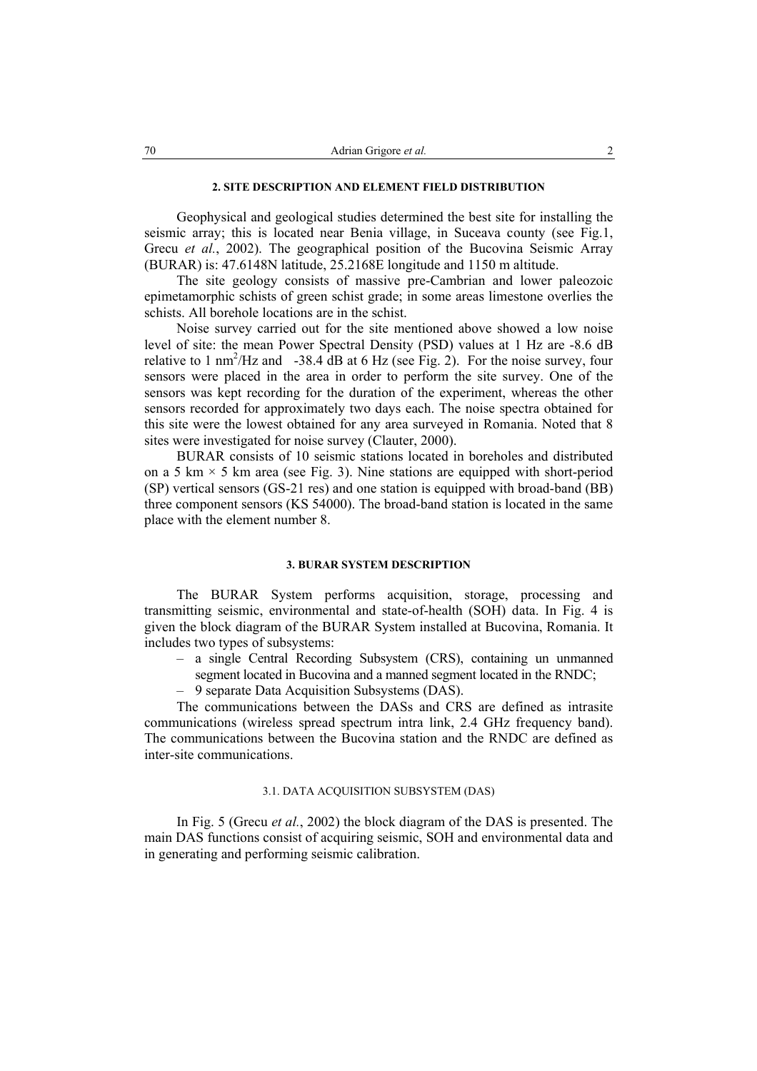#### **2. SITE DESCRIPTION AND ELEMENT FIELD DISTRIBUTION**

Geophysical and geological studies determined the best site for installing the seismic array; this is located near Benia village, in Suceava county (see Fig.1, Grecu *et al.*, 2002). The geographical position of the Bucovina Seismic Array (BURAR) is: 47.6148N latitude, 25.2168E longitude and 1150 m altitude.

The site geology consists of massive pre-Cambrian and lower paleozoic epimetamorphic schists of green schist grade; in some areas limestone overlies the schists. All borehole locations are in the schist.

Noise survey carried out for the site mentioned above showed a low noise level of site: the mean Power Spectral Density (PSD) values at 1 Hz are -8.6 dB relative to 1 nm<sup>2</sup>/Hz and  $-38.4$  dB at 6 Hz (see Fig. 2). For the noise survey, four sensors were placed in the area in order to perform the site survey. One of the sensors was kept recording for the duration of the experiment, whereas the other sensors recorded for approximately two days each. The noise spectra obtained for this site were the lowest obtained for any area surveyed in Romania. Noted that 8 sites were investigated for noise survey (Clauter, 2000).

BURAR consists of 10 seismic stations located in boreholes and distributed on a 5 km  $\times$  5 km area (see Fig. 3). Nine stations are equipped with short-period (SP) vertical sensors (GS-21 res) and one station is equipped with broad-band (BB) three component sensors (KS 54000). The broad-band station is located in the same place with the element number 8.

## **3. BURAR SYSTEM DESCRIPTION**

The BURAR System performs acquisition, storage, processing and transmitting seismic, environmental and state-of-health (SOH) data. In Fig. 4 is given the block diagram of the BURAR System installed at Bucovina, Romania. It includes two types of subsystems:

- a single Central Recording Subsystem (CRS), containing un unmanned segment located in Bucovina and a manned segment located in the RNDC;
- 9 separate Data Acquisition Subsystems (DAS).

The communications between the DASs and CRS are defined as intrasite communications (wireless spread spectrum intra link, 2.4 GHz frequency band). The communications between the Bucovina station and the RNDC are defined as inter-site communications.

#### 3.1. DATA ACQUISITION SUBSYSTEM (DAS)

In Fig. 5 (Grecu *et al.*, 2002) the block diagram of the DAS is presented. The main DAS functions consist of acquiring seismic, SOH and environmental data and in generating and performing seismic calibration.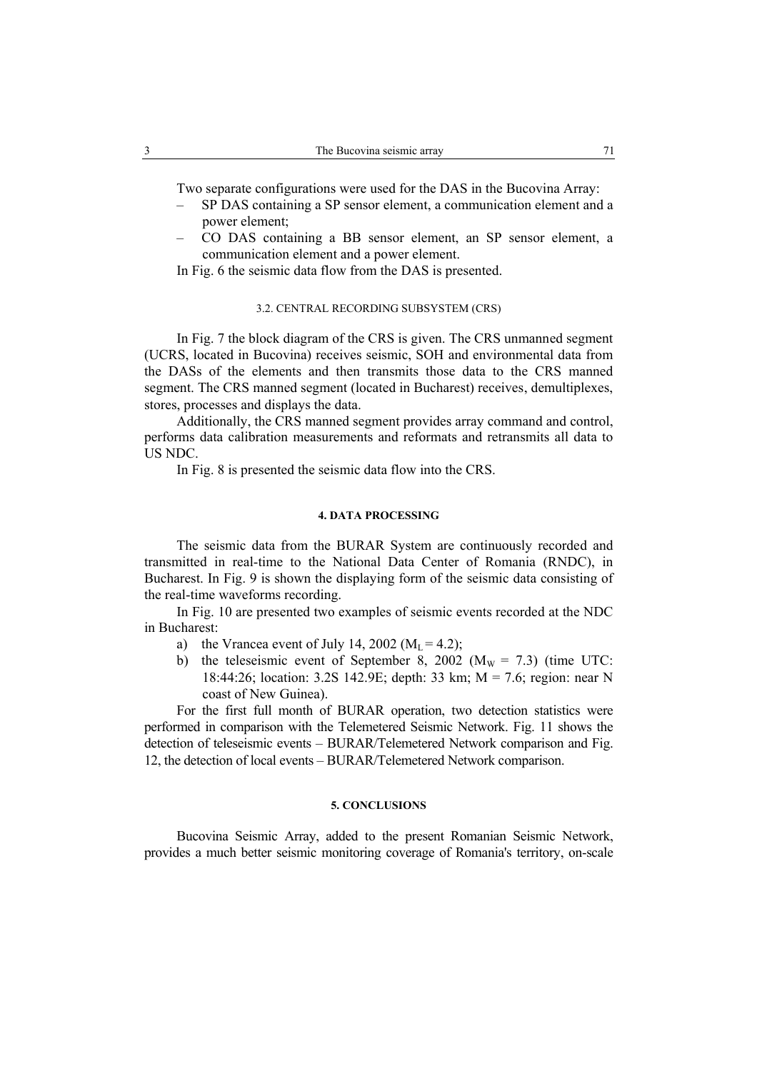Two separate configurations were used for the DAS in the Bucovina Array:

- SP DAS containing a SP sensor element, a communication element and a power element;
- CO DAS containing a BB sensor element, an SP sensor element, a communication element and a power element.
- In Fig. 6 the seismic data flow from the DAS is presented.

### 3.2. CENTRAL RECORDING SUBSYSTEM (CRS)

In Fig. 7 the block diagram of the CRS is given. The CRS unmanned segment (UCRS, located in Bucovina) receives seismic, SOH and environmental data from the DASs of the elements and then transmits those data to the CRS manned segment. The CRS manned segment (located in Bucharest) receives, demultiplexes, stores, processes and displays the data.

Additionally, the CRS manned segment provides array command and control, performs data calibration measurements and reformats and retransmits all data to US NDC.

In Fig. 8 is presented the seismic data flow into the CRS.

## **4. DATA PROCESSING**

The seismic data from the BURAR System are continuously recorded and transmitted in real-time to the National Data Center of Romania (RNDC), in Bucharest. In Fig. 9 is shown the displaying form of the seismic data consisting of the real-time waveforms recording.

In Fig. 10 are presented two examples of seismic events recorded at the NDC in Bucharest:

- a) the Vrancea event of July 14, 2002 ( $M_L = 4.2$ );
- b) the teleseismic event of September 8, 2002 ( $M_W = 7.3$ ) (time UTC: 18:44:26; location: 3.2S 142.9E; depth: 33 km; M = 7.6; region: near N coast of New Guinea).

For the first full month of BURAR operation, two detection statistics were performed in comparison with the Telemetered Seismic Network. Fig. 11 shows the detection of teleseismic events – BURAR/Telemetered Network comparison and Fig. 12, the detection of local events – BURAR/Telemetered Network comparison.

#### **5. CONCLUSIONS**

Bucovina Seismic Array, added to the present Romanian Seismic Network, provides a much better seismic monitoring coverage of Romania's territory, on-scale